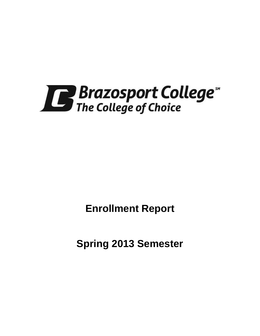

**Enrollment Report**

**Spring 2013 Semester**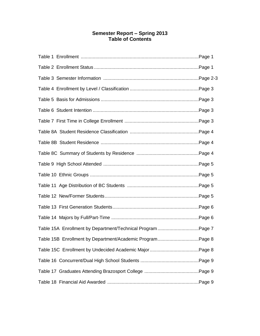# **Semester Report – Spring 2013 Table of Contents**

| Table 15B Enrollment by Department/Academic ProgramPage 8 |  |
|-----------------------------------------------------------|--|
|                                                           |  |
|                                                           |  |
|                                                           |  |
|                                                           |  |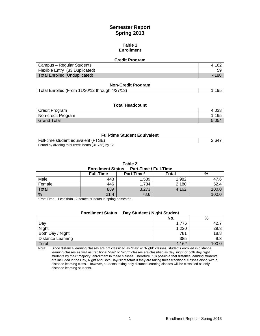# **Semester Report Spring 2013**

#### **Table 1 Enrollment**

#### **Credit Program**

| Campus - Regular Students            | 4.162 |
|--------------------------------------|-------|
| Flexible Entry (33 Duplicated)       | 59    |
| <b>Total Enrolled (Unduplicated)</b> | 4188  |

#### **Non-Credit Program**

| Total Enrolled (From 11/30/12 through 4/27/13) | .195 |
|------------------------------------------------|------|
|------------------------------------------------|------|

## **Total Headcount**

| Credit Program     | 4,033 |
|--------------------|-------|
| Non-credit Program | 195   |
| <b>Grand Total</b> | 5.054 |

### **Full-time Student Equivalent**

| Full-time student equivalent (FTSE)                 | 2.647 |
|-----------------------------------------------------|-------|
| Found by dividing total credit hours (31,758) by 12 |       |

**Table 2**

#### **Enrollment Status Part-Time / Full-Time**

|               | <b>Full-Time</b> | Part-Time* | ™otal | %     |  |  |
|---------------|------------------|------------|-------|-------|--|--|
| Male          | 443              | ,539       | 1,982 | 47.6  |  |  |
| Female        | 446              | .734       | 2,180 | 52.4  |  |  |
| Total         | 889              | 3,273      | 4,162 | 100.0 |  |  |
| $\frac{0}{0}$ | 21.4             | 78.6       |       | 100.0 |  |  |

\*Part-Time – Less than 12 semester hours in spring semester.

| <b>Enrollment Status</b> | Day Student / Night Student |       |
|--------------------------|-----------------------------|-------|
|                          | No.                         | %     |
| Day                      | 1.776                       | 42.   |
| Night                    | 1,220                       | 29.3  |
| Both Day / Night         | 781                         | 18.8  |
| <b>Distance Learning</b> | 385                         | 9.3   |
| Total                    | 4,162                       | 100.0 |

Note: Since distance learning classes are not classified as "Day" or "Night" classes, students enrolled in distance learning classes as well as traditional "day" or "night" classes are classified as day, night or both day/night students by their "majority" enrollment in these classes. Therefore, it is possible that distance learning students are included in the Day, Night and Both Day/Night totals if they are taking these traditional classes along with a distance learning class. However, students taking only distance learning classes will be classified as only distance learning students.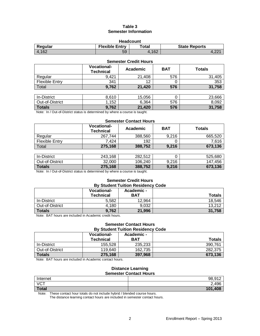# **Table 3 Semester Information**

| <b>Headcount</b>                                                  |    |       |      |  |
|-------------------------------------------------------------------|----|-------|------|--|
| <b>Flexible Entry</b><br><b>State Reports</b><br>Regular<br>Total |    |       |      |  |
| 4.162                                                             | 59 | 4.162 | 4.22 |  |

| <b>Semester Credit Hours</b> |                                        |          |            |               |  |
|------------------------------|----------------------------------------|----------|------------|---------------|--|
|                              | <b>Vocational-</b><br><b>Technical</b> | Academic | <b>BAT</b> | <b>Totals</b> |  |
| Regular                      | 9,421                                  | 21,408   | 576        | 31,405        |  |
| <b>Flexible Entry</b>        | 341                                    | 12       | 0          | 353           |  |
| Total                        | 9,762                                  | 21,420   | 576        | 31,758        |  |
|                              |                                        |          |            |               |  |
| In-District                  | 8,610                                  | 15,056   | 0          | 23,666        |  |
| Out-of-District              | 1,152                                  | 6,364    | 576        | 8,092         |  |

Note: In / Out-of-District status is determined by where a course is taught.

#### **Semester Contact Hours**

**Totals 9,762 21,420 576 31,758**

|                | <b>Vocational-</b><br><b>Technical</b> | Academic | <b>BAT</b> | <b>Totals</b> |
|----------------|----------------------------------------|----------|------------|---------------|
| Regular        | 267.744                                | 388,560  | 9.216      | 665.520       |
| Flexible Entry | 7.424                                  | 192      |            | 7.616         |
| Total          | 275,168                                | 388,752  | 9.216      | 673.136       |

| In-District     | 243.168 | 282.512 |       | 525,680 |
|-----------------|---------|---------|-------|---------|
| Out-of-District | 32,000  | 106,240 | 9,216 | 147.456 |
| <b>Totals</b>   | 275,168 | 388,752 | 9,216 | 673.136 |

Note: In / Out-of-District status is determined by where a course is taught.

#### **Semester Credit Hours By Student Tuition Residency Code**

|                 | <b>Vocational-</b><br><b>Technical</b> | Academic -<br><b>BAT</b> | <b>Totals</b> |
|-----------------|----------------------------------------|--------------------------|---------------|
| In-District     | 5.582                                  | 12,964                   | 18,546        |
| Out-of-District | 4,180                                  | 9.032                    | 13.212        |
| <b>Totals</b>   | 9,762                                  | 21,996                   | 31,758        |

Note: BAT hours are included in Academic credit hours.

#### **Semester Contact Hours By Student Tuition Residency Code**

|                 | <b>Vocational-</b><br><b>Technical</b> | Academic -<br>BAT | <b>Totals</b> |
|-----------------|----------------------------------------|-------------------|---------------|
| In-District     | 155.528                                | 235.233           | 390.761       |
| Out-of-District | 119.640                                | 162.735           | 282.375       |
| <b>Totals</b>   | 275,168                                | 397.968           | 673,136       |

Note: BAT hours are included in Academic contact hours.

#### **Distance Learning Semester Contact Hours**

| Internet     | 98,912  |
|--------------|---------|
| <b>VCT</b>   | 2,496   |
| <b>Total</b> | 101,408 |

Note: These contact hour totals do not include hybrid / blended course hours.

The distance learning contact hours are included in semester contact hours.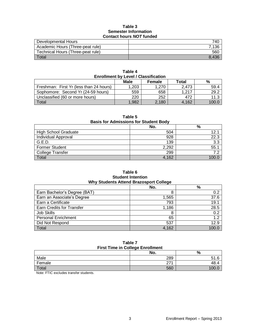### **Table 3 Semester Information Contact hours** *NOT* **funded**

| Developmental Hours               | 740   |
|-----------------------------------|-------|
| Academic Hours (Three-peat rule)  | 7.136 |
| Technical Hours (Three-peat rule) | 560   |
| Total                             |       |

| <b>Enrollment by Level / Classification</b> |       |               |       |       |  |
|---------------------------------------------|-------|---------------|-------|-------|--|
|                                             | Male  | <b>Female</b> | Total | %     |  |
| Freshman: First Yr (less than 24 hours)     | 1,203 | 1.270         | 2.473 | 59.4  |  |
| Sophomore: Second Yr (24-59 hours)          | 559   | 658           | 1.217 | 29.2  |  |
| Unclassified (60 or more hours)             | 220   | 252           | 472   | 11.3  |  |
| Total                                       | 1,982 | 2,180         | 4.162 | 100.0 |  |

**Table 4**

# **Table 5**

## **Basis for Admissions for Student Body**

|                             | No.   | %     |
|-----------------------------|-------|-------|
| <b>High School Graduate</b> | 504   | 12.1  |
| Individual Approval         | 928   | 22.3  |
| G.E.D.                      | 139   | 3.3   |
| Former Student              | 2,292 | 55.1  |
| College Transfer            | 299   |       |
| Total                       | 4,162 | 100 C |

### **Table 6 Student Intention Why Students Attend Brazosport College**

|                              | No.   | %     |  |  |
|------------------------------|-------|-------|--|--|
| Earn Bachelor's Degree (BAT) | 8     | 0.2   |  |  |
| Earn an Associate's Degree   | 1,565 | 37.6  |  |  |
| Earn a Certificate           | 793   | 19.1  |  |  |
| Earn Credits for Transfer    | 1,186 | 28.5  |  |  |
| Job Skills                   | 8     | 0.2   |  |  |
| <b>Personal Enrichment</b>   | 65    | 1.2   |  |  |
| Did Not Respond              | 537   | 12.9  |  |  |
| Total                        | 4,162 | 100.0 |  |  |

#### **Table 7 First Time in College Enrollment**

|        | No. | %    |  |
|--------|-----|------|--|
| Male   | 289 | 51.6 |  |
| Female | 074 | 48.4 |  |
| Total  | 560 |      |  |

Note: FTIC excludes transfer students.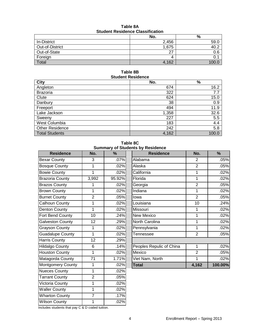| Table 8A                                |  |  |
|-----------------------------------------|--|--|
| <b>Student Residence Classification</b> |  |  |

|                 | No.   | %       |  |  |
|-----------------|-------|---------|--|--|
| In-District     | 2,456 | 59.0    |  |  |
| Out-of-District | 1,675 | 40.     |  |  |
| Out-of-State    | 27    | 0.6     |  |  |
| Foreign         |       | υ.      |  |  |
| Total           | 4,162 | $-100o$ |  |  |

**Table 8B Student Residence**

| City                   | No.   | %     |
|------------------------|-------|-------|
| Angleton               | 674   | 16.2  |
| <b>Brazoria</b>        | 322   | 7.7   |
| Clute                  | 624   | 15.0  |
| Danbury                | 38    | 0.9   |
| Freeport               | 494   | 11.9  |
| Lake Jackson           | 1,358 | 32.6  |
| Sweeny                 | 227   | 5.5   |
| West Columbia          | 183   | 4.4   |
| <b>Other Residence</b> | 242   | 5.8   |
| <b>Total Students</b>  | 4,162 | 100.0 |

**Table 8C Summary of Students by Residence**

| ounnnary or o            |                 |               |  |
|--------------------------|-----------------|---------------|--|
| <b>Residence</b>         | No.             | $\frac{0}{0}$ |  |
| <b>Bexar County</b>      | 3               | .07%          |  |
| <b>Bosque County</b>     | 1               | .02%          |  |
| <b>Bowie County</b>      | 1               | .02%          |  |
| <b>Brazoria County</b>   | 3,992           | 95.92%        |  |
| <b>Brazos County</b>     | 1               | .02%          |  |
| <b>Brown County</b>      | 1               | .02%          |  |
| <b>Burnet County</b>     | $\overline{2}$  | .05%          |  |
| Calhoun County           | 1               | .02%          |  |
| <b>Denton County</b>     | 1               | .02%          |  |
| Fort Bend County         | $\overline{10}$ | .24%          |  |
| <b>Galveston County</b>  | 12              | .29%          |  |
| <b>Grayson County</b>    | 1               | .02%          |  |
| Guadalupe County         | 1               | .02%          |  |
| <b>Harris County</b>     | $\overline{12}$ | .29%          |  |
| <b>Hildalgo County</b>   | 6               | .14%          |  |
| <b>Houston County</b>    | 1               | .02%          |  |
| Matagorda County         | $\overline{71}$ | 1.71%         |  |
| <b>Montgomery County</b> | 1               | .02%          |  |
| <b>Nueces County</b>     | 1               | .02%          |  |
| <b>Tarrant County</b>    | $\overline{c}$  | .05%          |  |
| Victoria County          | 1               | .02%          |  |
| <b>Waller County</b>     | 1               | .02%          |  |
| <b>Wharton County</b>    | $\overline{7}$  | .17%          |  |
| <b>Wilson County</b>     | 1               | .02%          |  |
|                          |                 |               |  |

| <b>Residence</b>         | No.            | %      | <b>Residence</b>         | No.            | $\%$    |
|--------------------------|----------------|--------|--------------------------|----------------|---------|
| <b>Bexar County</b>      | 3              | .07%   | Alabama                  | 2              | .05%    |
| <b>Bosque County</b>     | 1              | .02%   | Alaska                   | $\overline{2}$ | .05%    |
| <b>Bowie County</b>      | 1              | .02%   | California               | 1              | .02%    |
| <b>Brazoria County</b>   | 3,992          | 95.92% | Florida                  | 1              | .02%    |
| <b>Brazos County</b>     |                | .02%   | Georgia                  | $\overline{2}$ | .05%    |
| <b>Brown County</b>      | 1              | .02%   | Indiana                  | 1              | .02%    |
| <b>Burnet County</b>     | $\overline{2}$ | .05%   | lowa                     | $\overline{2}$ | .05%    |
| Calhoun County           |                | .02%   | Louisiana                | 10             | .24%    |
| Denton County            |                | .02%   | Missouri                 |                | .02%    |
| Fort Bend County         | 10             | .24%   | New Mexico               | 1              | .02%    |
| <b>Galveston County</b>  | 12             | .29%   | North Carolina           | 1              | .02%    |
| <b>Grayson County</b>    |                | .02%   | Pennsylvania             | 1              | .02%    |
| <b>Guadalupe County</b>  | 1              | .02%   | Tennessee                | $\overline{2}$ | .05%    |
| <b>Harris County</b>     | 12             | .29%   |                          |                |         |
| <b>Hildalgo County</b>   | 6              | .14%   | Peoples Repulic of China | 1              | .02%    |
| <b>Houston County</b>    | 1              | .02%   | Mexico                   | $\overline{2}$ | .05%    |
| Matagorda County         | 71             | 1.71%  | Viet Nam, North          | 1              | .02%    |
| <b>Montgomery County</b> | 1              | .02%   | <b>Total</b>             | 4,162          | 100.00% |
|                          |                |        |                          |                |         |

Includes students that pay C & D coded tuition.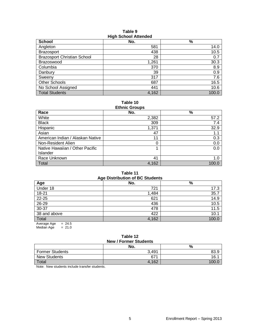### **Table 9 High School Attended**

| - - - -                            |       |       |  |  |  |
|------------------------------------|-------|-------|--|--|--|
| <b>School</b>                      | No.   | $\%$  |  |  |  |
| Angleton                           | 581   | 14.0  |  |  |  |
| <b>Brazosport</b>                  | 438   | 10.5  |  |  |  |
| <b>Brazosport Christian School</b> | 28    | 0.7   |  |  |  |
| Brazoswood                         | 1,261 | 30.3  |  |  |  |
| Columbia                           | 370   | 8.9   |  |  |  |
| Danbury                            | 39    | 0.9   |  |  |  |
| Sweeny                             | 317   | 7.6   |  |  |  |
| <b>Other Schools</b>               | 687   | 16.5  |  |  |  |
| No School Assigned                 | 441   | 10.6  |  |  |  |
| <b>Total Students</b>              | 4,162 | 100.0 |  |  |  |

**Table 10 Ethnic Groups**

| =======                          |       |       |  |  |  |
|----------------------------------|-------|-------|--|--|--|
| Race                             | No.   | %     |  |  |  |
| White                            | 2,382 | 57.2  |  |  |  |
| <b>Black</b>                     | 309   | 7.4   |  |  |  |
| Hispanic                         | 1,371 | 32.9  |  |  |  |
| Asian                            | 47    | 1.1   |  |  |  |
| American Indian / Alaskan Native | 11    | 0.3   |  |  |  |
| Non-Resident Alien               | 0     | 0.0   |  |  |  |
| Native Hawaiian / Other Pacific  |       | 0.0   |  |  |  |
| Islander                         |       |       |  |  |  |
| Race Unknown                     | 41    | 1.0   |  |  |  |
| Total                            | 4,162 | 100.0 |  |  |  |

# **Table 11**

| <b>Age Distribution of BC Students</b> |       |       |  |  |
|----------------------------------------|-------|-------|--|--|
| Age                                    | No.   | %     |  |  |
| Under 18                               | 721   | 17.3  |  |  |
| $18 - 21$                              | 1,484 | 35.7  |  |  |
| 22-25                                  | 621   | 14.9  |  |  |
| 26-29                                  | 436   | 10.5  |  |  |
| $30 - 37$                              | 478   | 11.5  |  |  |
| 38 and above                           | 422   | 10.1  |  |  |
| Total                                  | 4,162 | 100.0 |  |  |
| Average Age<br>$= 24.5$                |       |       |  |  |

Median Age  $= 21.0$ 

#### **Table 12 New / Former Students**

| <b>INGWIT UTTILET OLUUCITIO</b> |       |      |  |  |
|---------------------------------|-------|------|--|--|
|                                 | No.   | %    |  |  |
| <b>Former Students</b>          | 3.491 | 83.9 |  |  |
| <b>New Students</b>             | 671   | 16.  |  |  |
| <b>Total</b>                    | 4,162 |      |  |  |

Note: New students include transfer students.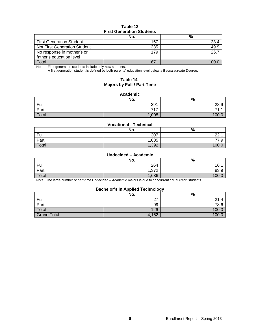# **Table 13 First Generation Students**

|                                     | No. | %    |  |  |  |
|-------------------------------------|-----|------|--|--|--|
| <b>First Generation Student</b>     | 157 | 23.4 |  |  |  |
| <b>Not First Generation Student</b> | 335 | 49.9 |  |  |  |
| No response in mother's or          | 179 | 26.7 |  |  |  |
| father's education level            |     |      |  |  |  |
| Total                               | 671 |      |  |  |  |

Note: First generation students include only new students.

A first generation student is defined by both parents' education level below a Baccalaureate Degree.

## **Table 14 Majors by Full / Part-Time**

#### **Academic**

|       | No.   | $\Omega$<br>70 |
|-------|-------|----------------|
| Full  | 291   | 28.9           |
| Part  | 747   | ¬<br>.         |
| Total | 1,008 | 100            |

#### **Vocational - Technical**

|       | No.   | $\Omega$<br>70                    |
|-------|-------|-----------------------------------|
| Full  | 307   | $\sim$ $\sim$ $\sim$<br><u>__</u> |
| Part  | ,085  | $\rightarrow$<br>∼<br>ن. ا        |
| Total | 1,392 | 100                               |

#### **Undecided – Academic**

|       | No.                    | %     |
|-------|------------------------|-------|
| Full  | 264                    | 16.1  |
| Part  | פדפ<br>ے <i>ا</i> ت, ا | 83.9  |
| Total | 1,636                  | 100.0 |

Note: The large number of part-time Undecided – Academic majors is due to concurrent / dual credit students.

#### **Bachelor's in Applied Technology**

|                    | No.       | --<br>% |
|--------------------|-----------|---------|
| Full               | דר<br>, i | 21.4    |
| Part               | 99        | 78.6    |
| Total              | 126       | 100.C   |
| <b>Grand Total</b> | 4,162     | 100.C   |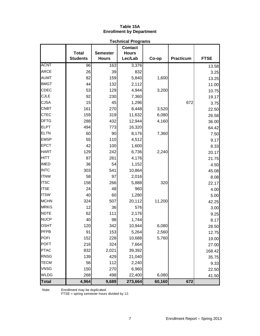# **Table 15A Enrollment by Department**

| <b>Technical Programs</b> |                                 |                                 |                         |        |           |             |
|---------------------------|---------------------------------|---------------------------------|-------------------------|--------|-----------|-------------|
|                           |                                 |                                 | <b>Contact</b>          |        |           |             |
|                           | <b>Total</b><br><b>Students</b> | <b>Semester</b><br><b>Hours</b> | <b>Hours</b><br>Lec/Lab | Co-op  | Practicum | <b>FTSE</b> |
| <b>ACNT</b>               |                                 | 163                             |                         |        |           |             |
| <b>ARCE</b>               | 96                              |                                 | 3,376                   |        |           | 13.58       |
|                           | 26                              | 39                              | 832                     |        |           | 3.25        |
| <b>AUMT</b>               | 82                              | 159                             | 5,840                   | 1,600  |           | 13.25       |
| <b>BMGT</b>               | 44                              | 132                             | 2,112                   |        |           | 11.00       |
| CDEC                      | 53                              | 129                             | 4,944                   | 3,200  |           | 10.75       |
| <b>CJLE</b>               | 92                              | 230                             | 7,360                   |        |           | 19.17       |
| <b>CJSA</b>               | 15                              | 45                              | 1,296                   |        | 672       | 3.75        |
| <b>CNBT</b>               | 161                             | 270                             | 8,448                   | 3,520  |           | 22.50       |
| <b>CTEC</b>               | 159                             | 319                             | 11,632                  | 6,080  |           | 26.58       |
| <b>DFTG</b>               | 288                             | 432                             | 12,944                  | 4,160  |           | 36.00       |
| <b>ELPT</b>               | 494                             | 773                             | 16,320                  |        |           | 64.42       |
| <b>ELTN</b>               | 60                              | 90                              | 8,176                   | 7,360  |           | 7.50        |
| <b>EMSP</b>               | 55                              | 110                             | 4,512                   |        |           | 9.17        |
| <b>EPCT</b>               | 42                              | 100                             | 1,600                   |        |           | 8.33        |
| <b>HART</b>               | 129                             | 242                             | 6,736                   | 2,240  |           | 20.17       |
| <b>HITT</b>               | 87                              | 261                             | 4,176                   |        |           | 21.75       |
| <b>IMED</b>               | 36                              | 54                              | 1,152                   |        |           | 4.50        |
| <b>INTC</b>               | 303                             | 541                             | 10,864                  |        |           | 45.08       |
| <b>ITNW</b>               | 58                              | 97                              | 2,016                   |        |           | 8.08        |
| <b>ITSC</b>               | 158                             | 266                             | 5,888                   | 320    |           | 22.17       |
| <b>ITSE</b>               | 24                              | 48                              | 960                     |        |           | 4.00        |
| <b>ITSW</b>               | 40                              | 60                              | 1,280                   |        |           | 5.00        |
| <b>MCHN</b>               | 324                             | 507                             | 20,112                  | 11,200 |           | 42.25       |
| <b>MRKG</b>               | 12                              | 36                              | 576                     |        |           | 3.00        |
| <b>NDTE</b>               | 62                              | 111                             | 2,176                   |        |           | 9.25        |
| <b>NUCP</b>               | 40                              | 98                              | 1,744                   |        |           | 8.17        |
| <b>OSHT</b>               | 120                             | 342                             | 10,944                  | 6,080  |           | 28.50       |
| <b>PFPB</b>               | 91                              | 153                             | 5,264                   | 2,560  |           | 12.75       |
| <b>POFI</b>               | 152                             | 228                             | 10,688                  | 5,760  |           | 19.00       |
| <b>POFT</b>               | 216                             | 324                             | 7,664                   |        |           | 27.00       |
| <b>PTAC</b>               | 832                             | 2,021                           | 39,392                  |        |           | 168.42      |
| <b>RNSG</b>               | 139                             | 429                             | 21,040                  |        |           | 35.75       |
| <b>TECM</b>               | 56                              | 112                             | 2,240                   |        |           | 9.33        |
| <b>VNSG</b>               | 150                             | 270                             | 6,960                   |        |           | 22.50       |
| <b>WLDG</b>               | 268                             | 498                             | 22,400                  | 6,080  |           | 41.50       |
| <b>Total</b>              | 4,964                           | 9,689                           | 273,664                 | 60,160 | 672       |             |

Note: Enrollment may be duplicated.

FTSE = spring semester hours divided by 12.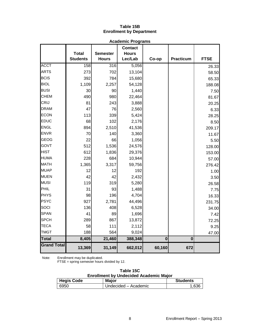## **Table 15B Enrollment by Department**

|                    | <b>Academic Programs</b>        |                                 |                                           |                         |                         |             |
|--------------------|---------------------------------|---------------------------------|-------------------------------------------|-------------------------|-------------------------|-------------|
|                    | <b>Total</b><br><b>Students</b> | <b>Semester</b><br><b>Hours</b> | <b>Contact</b><br><b>Hours</b><br>Lec/Lab | Co-op                   | <b>Practicum</b>        | <b>FTSE</b> |
| <b>ACCT</b>        | 158                             | 316                             | 5,056                                     |                         |                         | 26.33       |
| <b>ARTS</b>        | 273                             | 702                             | 13,104                                    |                         |                         | 58.50       |
| <b>BCIS</b>        | 392                             | 784                             | 15,680                                    |                         |                         | 65.33       |
| <b>BIOL</b>        | 1,109                           | 2,257                           | 54,128                                    |                         |                         | 188.08      |
| <b>BUSI</b>        | 30                              | 90                              | 1,440                                     |                         |                         | 7.50        |
| <b>CHEM</b>        | 490                             | 980                             | 22,464                                    |                         |                         | 81.67       |
| CRIJ               | 81                              | 243                             | 3,888                                     |                         |                         | 20.25       |
| <b>DRAM</b>        | 47                              | 76                              | 2,560                                     |                         |                         | 6.33        |
| <b>ECON</b>        | 113                             | 339                             | 5,424                                     |                         |                         | 28.25       |
| <b>EDUC</b>        | 68                              | 102                             | 2,176                                     |                         |                         | 8.50        |
| <b>ENGL</b>        | 894                             | 2,510                           | 41,536                                    |                         |                         | 209.17      |
| <b>ENVR</b>        | 70                              | 140                             | 3,360                                     |                         |                         | 11.67       |
| <b>GEOG</b>        | 22                              | 66                              | 1,056                                     |                         |                         | 5.50        |
| GOVT               | 512                             | 1,536                           | 24,576                                    |                         |                         | 128.00      |
| <b>HIST</b>        | 612                             | 1,836                           | 29,376                                    |                         |                         | 153.00      |
| <b>HUMA</b>        | 228                             | 684                             | 10,944                                    |                         |                         | 57.00       |
| <b>MATH</b>        | 1,365                           | 3,317                           | 59,756                                    |                         |                         | 276.42      |
| <b>MUAP</b>        | 12                              | 12                              | 192                                       |                         |                         | 1.00        |
| <b>MUEN</b>        | 42                              | 42                              | 2,432                                     |                         |                         | 3.50        |
| <b>MUSI</b>        | 119                             | 319                             | 5,280                                     |                         |                         | 26.58       |
| PHIL               | 31                              | 93                              | 1,488                                     |                         |                         | 7.75        |
| <b>PHYS</b>        | 98                              | 196                             | 4,704                                     |                         |                         | 16.33       |
| PSYC               | 927                             | 2,781                           | 44,496                                    |                         |                         | 231.75      |
| SOCI               | 136                             | 408                             | 6,528                                     |                         |                         | 34.00       |
| <b>SPAN</b>        | 41                              | 89                              | 1,696                                     |                         |                         | 7.42        |
| <b>SPCH</b>        | 289                             | 867                             | 13,872                                    |                         |                         | 72.25       |
| <b>TECA</b>        | 58                              | 111                             | 2,112                                     |                         |                         | 9.25        |
| <b>TMGT</b>        | 188                             | 564                             | 9,024                                     |                         |                         | 47.00       |
| <b>Total</b>       | 8,405                           | 21,460                          | 388,348                                   | $\overline{\mathbf{0}}$ | $\overline{\mathbf{0}}$ |             |
| <b>Grand Total</b> | 13,369                          | 31,149                          | 662,012                                   | 60,160                  | 672                     |             |

Note: Enrollment may be duplicated.

FTSE = spring semester hours divided by 12.

| Table 15C                                     |  |  |  |  |
|-----------------------------------------------|--|--|--|--|
| <b>Enrollment by Undecided Academic Major</b> |  |  |  |  |

| <b>Hegis Code</b> | <b>Major</b>         | <b>Students</b> |
|-------------------|----------------------|-----------------|
| 6950              | Undecided – Academic | 1.636           |